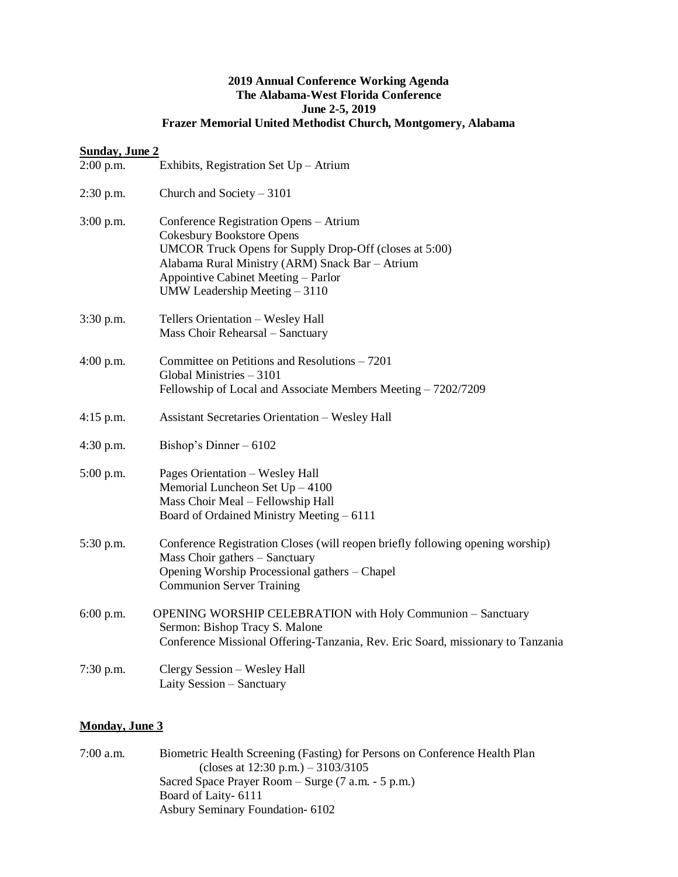## **2019 Annual Conference Working Agenda The Alabama-West Florida Conference June 2-5, 2019 Frazer Memorial United Methodist Church, Montgomery, Alabama**

## **Sunday, June 2**

| $2:00$ p.m. | Exhibits, Registration Set Up - Atrium                                                                                                                                                                                                                          |
|-------------|-----------------------------------------------------------------------------------------------------------------------------------------------------------------------------------------------------------------------------------------------------------------|
| $2:30$ p.m. | Church and Society $-3101$                                                                                                                                                                                                                                      |
| $3:00$ p.m. | Conference Registration Opens - Atrium<br><b>Cokesbury Bookstore Opens</b><br>UMCOR Truck Opens for Supply Drop-Off (closes at 5:00)<br>Alabama Rural Ministry (ARM) Snack Bar - Atrium<br>Appointive Cabinet Meeting - Parlor<br>UMW Leadership Meeting - 3110 |
| 3:30 p.m.   | Tellers Orientation - Wesley Hall<br>Mass Choir Rehearsal - Sanctuary                                                                                                                                                                                           |
| $4:00$ p.m. | Committee on Petitions and Resolutions – 7201<br>Global Ministries - 3101<br>Fellowship of Local and Associate Members Meeting - 7202/7209                                                                                                                      |
| 4:15 p.m.   | <b>Assistant Secretaries Orientation - Wesley Hall</b>                                                                                                                                                                                                          |
| $4:30$ p.m. | Bishop's Dinner $-6102$                                                                                                                                                                                                                                         |
| 5:00 p.m.   | Pages Orientation - Wesley Hall<br>Memorial Luncheon Set $Up - 4100$<br>Mass Choir Meal - Fellowship Hall<br>Board of Ordained Ministry Meeting - 6111                                                                                                          |
| 5:30 p.m.   | Conference Registration Closes (will reopen briefly following opening worship)<br>Mass Choir gathers - Sanctuary<br>Opening Worship Processional gathers - Chapel<br><b>Communion Server Training</b>                                                           |
| 6:00 p.m.   | OPENING WORSHIP CELEBRATION with Holy Communion - Sanctuary<br>Sermon: Bishop Tracy S. Malone<br>Conference Missional Offering-Tanzania, Rev. Eric Soard, missionary to Tanzania                                                                                |
| $7:30$ p.m. | Clergy Session - Wesley Hall<br>Laity Session - Sanctuary                                                                                                                                                                                                       |

## **Monday, June 3**

| $7:00$ a.m. | Biometric Health Screening (Fasting) for Persons on Conference Health Plan |
|-------------|----------------------------------------------------------------------------|
|             | (closes at $12:30 \text{ p.m.}$ ) – 3103/3105                              |
|             | Sacred Space Prayer Room – Surge (7 a.m. - 5 p.m.)                         |
|             | Board of Laity- 6111                                                       |
|             | <b>Asbury Seminary Foundation-6102</b>                                     |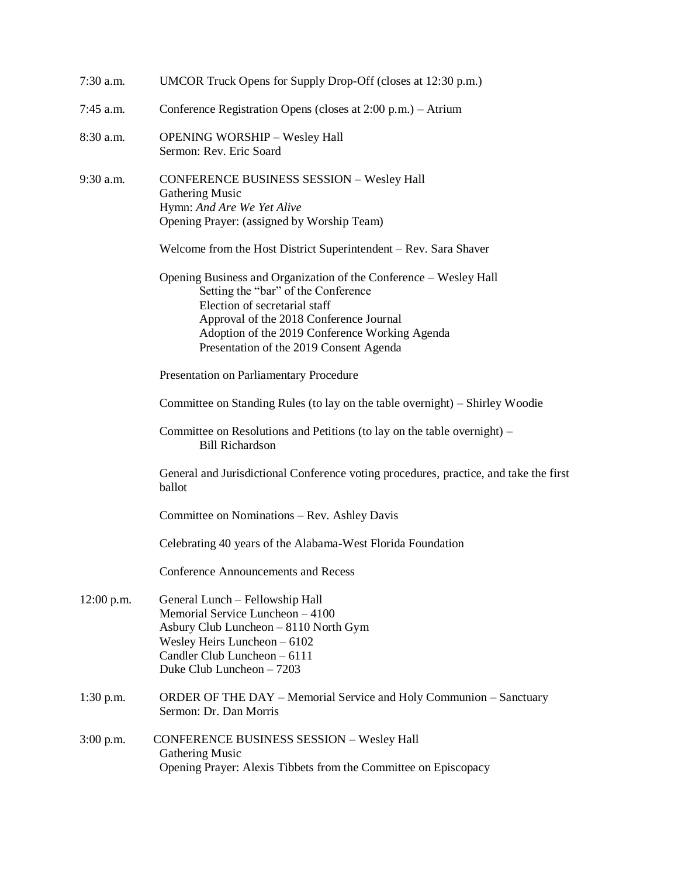| 7:30 a.m.    | UMCOR Truck Opens for Supply Drop-Off (closes at 12:30 p.m.)                                                                                                                                                                                                                      |
|--------------|-----------------------------------------------------------------------------------------------------------------------------------------------------------------------------------------------------------------------------------------------------------------------------------|
| 7:45 a.m.    | Conference Registration Opens (closes at 2:00 p.m.) – Atrium                                                                                                                                                                                                                      |
| 8:30 a.m.    | <b>OPENING WORSHIP - Wesley Hall</b><br>Sermon: Rev. Eric Soard                                                                                                                                                                                                                   |
| $9:30$ a.m.  | <b>CONFERENCE BUSINESS SESSION - Wesley Hall</b><br>Gathering Music<br>Hymn: And Are We Yet Alive<br>Opening Prayer: (assigned by Worship Team)                                                                                                                                   |
|              | Welcome from the Host District Superintendent – Rev. Sara Shaver                                                                                                                                                                                                                  |
|              | Opening Business and Organization of the Conference – Wesley Hall<br>Setting the "bar" of the Conference<br>Election of secretarial staff<br>Approval of the 2018 Conference Journal<br>Adoption of the 2019 Conference Working Agenda<br>Presentation of the 2019 Consent Agenda |
|              | Presentation on Parliamentary Procedure                                                                                                                                                                                                                                           |
|              | Committee on Standing Rules (to lay on the table overnight) – Shirley Woodie                                                                                                                                                                                                      |
|              | Committee on Resolutions and Petitions (to lay on the table overnight) –<br><b>Bill Richardson</b>                                                                                                                                                                                |
|              | General and Jurisdictional Conference voting procedures, practice, and take the first<br>ballot                                                                                                                                                                                   |
|              | Committee on Nominations – Rev. Ashley Davis                                                                                                                                                                                                                                      |
|              | Celebrating 40 years of the Alabama-West Florida Foundation                                                                                                                                                                                                                       |
|              | <b>Conference Announcements and Recess</b>                                                                                                                                                                                                                                        |
| $12:00$ p.m. | General Lunch - Fellowship Hall<br>Memorial Service Luncheon - 4100<br>Asbury Club Luncheon - 8110 North Gym<br>Wesley Heirs Luncheon $-6102$<br>Candler Club Luncheon - 6111<br>Duke Club Luncheon - 7203                                                                        |
| $1:30$ p.m.  | ORDER OF THE DAY – Memorial Service and Holy Communion – Sanctuary<br>Sermon: Dr. Dan Morris                                                                                                                                                                                      |
| $3:00$ p.m.  | <b>CONFERENCE BUSINESS SESSION - Wesley Hall</b><br>Gathering Music<br>Opening Prayer: Alexis Tibbets from the Committee on Episcopacy                                                                                                                                            |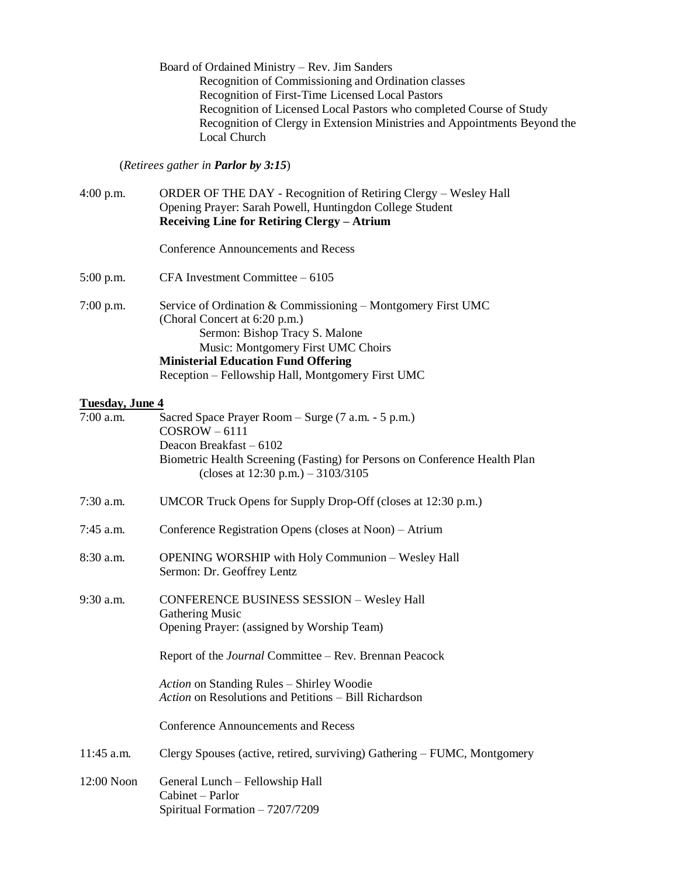Board of Ordained Ministry – Rev. Jim Sanders Recognition of Commissioning and Ordination classes Recognition of First-Time Licensed Local Pastors Recognition of Licensed Local Pastors who completed Course of Study Recognition of Clergy in Extension Ministries and Appointments Beyond the Local Church

(*Retirees gather in Parlor by 3:15*)

| $4:00$ p.m.     | ORDER OF THE DAY - Recognition of Retiring Clergy - Wesley Hall<br>Opening Prayer: Sarah Powell, Huntingdon College Student<br>Receiving Line for Retiring Clergy - Atrium                                                                                               |
|-----------------|--------------------------------------------------------------------------------------------------------------------------------------------------------------------------------------------------------------------------------------------------------------------------|
|                 | <b>Conference Announcements and Recess</b>                                                                                                                                                                                                                               |
| $5:00$ p.m.     | CFA Investment Committee - 6105                                                                                                                                                                                                                                          |
| 7:00 p.m.       | Service of Ordination & Commissioning - Montgomery First UMC<br>(Choral Concert at 6:20 p.m.)<br>Sermon: Bishop Tracy S. Malone<br>Music: Montgomery First UMC Choirs<br><b>Ministerial Education Fund Offering</b><br>Reception - Fellowship Hall, Montgomery First UMC |
| Tuesday, June 4 |                                                                                                                                                                                                                                                                          |
| 7:00 a.m.       | Sacred Space Prayer Room - Surge (7 a.m. - 5 p.m.)<br>$COSROW - 6111$<br>Deacon Breakfast - 6102<br>Biometric Health Screening (Fasting) for Persons on Conference Health Plan<br>(closes at $12:30$ p.m.) $-3103/3105$                                                  |
| $7:30$ a.m.     | UMCOR Truck Opens for Supply Drop-Off (closes at 12:30 p.m.)                                                                                                                                                                                                             |
| 7:45 a.m.       | Conference Registration Opens (closes at Noon) – Atrium                                                                                                                                                                                                                  |
| 8:30 a.m.       | <b>OPENING WORSHIP with Holy Communion - Wesley Hall</b><br>Sermon: Dr. Geoffrey Lentz                                                                                                                                                                                   |
| 9:30 a.m.       | <b>CONFERENCE BUSINESS SESSION - Wesley Hall</b><br><b>Gathering Music</b><br>Opening Prayer: (assigned by Worship Team)                                                                                                                                                 |
|                 | Report of the <i>Journal</i> Committee – Rev. Brennan Peacock                                                                                                                                                                                                            |
|                 | Action on Standing Rules - Shirley Woodie<br>Action on Resolutions and Petitions – Bill Richardson                                                                                                                                                                       |
|                 | <b>Conference Announcements and Recess</b>                                                                                                                                                                                                                               |
| 11:45 a.m.      | Clergy Spouses (active, retired, surviving) Gathering – FUMC, Montgomery                                                                                                                                                                                                 |
| 12:00 Noon      | General Lunch - Fellowship Hall<br>Cabinet - Parlor<br>Spiritual Formation - 7207/7209                                                                                                                                                                                   |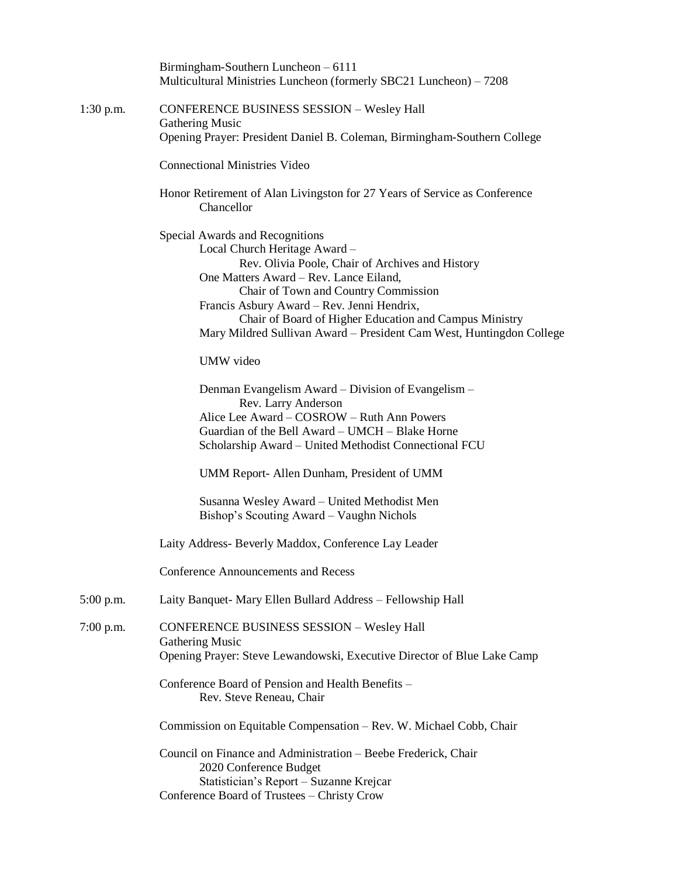|             | Birmingham-Southern Luncheon - 6111<br>Multicultural Ministries Luncheon (formerly SBC21 Luncheon) - 7208                                                                                                                                                                                                                                                                              |
|-------------|----------------------------------------------------------------------------------------------------------------------------------------------------------------------------------------------------------------------------------------------------------------------------------------------------------------------------------------------------------------------------------------|
| $1:30$ p.m. | <b>CONFERENCE BUSINESS SESSION - Wesley Hall</b>                                                                                                                                                                                                                                                                                                                                       |
|             | <b>Gathering Music</b><br>Opening Prayer: President Daniel B. Coleman, Birmingham-Southern College                                                                                                                                                                                                                                                                                     |
|             | <b>Connectional Ministries Video</b>                                                                                                                                                                                                                                                                                                                                                   |
|             | Honor Retirement of Alan Livingston for 27 Years of Service as Conference<br>Chancellor                                                                                                                                                                                                                                                                                                |
|             | Special Awards and Recognitions<br>Local Church Heritage Award -<br>Rev. Olivia Poole, Chair of Archives and History<br>One Matters Award - Rev. Lance Eiland,<br>Chair of Town and Country Commission<br>Francis Asbury Award - Rev. Jenni Hendrix,<br>Chair of Board of Higher Education and Campus Ministry<br>Mary Mildred Sullivan Award - President Cam West, Huntingdon College |
|             | UMW video                                                                                                                                                                                                                                                                                                                                                                              |
|             | Denman Evangelism Award - Division of Evangelism -<br>Rev. Larry Anderson<br>Alice Lee Award – COSROW – Ruth Ann Powers<br>Guardian of the Bell Award – UMCH – Blake Horne<br>Scholarship Award - United Methodist Connectional FCU<br>UMM Report- Allen Dunham, President of UMM                                                                                                      |
|             | Susanna Wesley Award - United Methodist Men<br>Bishop's Scouting Award – Vaughn Nichols                                                                                                                                                                                                                                                                                                |
|             | Laity Address- Beverly Maddox, Conference Lay Leader                                                                                                                                                                                                                                                                                                                                   |
|             | <b>Conference Announcements and Recess</b>                                                                                                                                                                                                                                                                                                                                             |
| $5:00$ p.m. | Laity Banquet- Mary Ellen Bullard Address - Fellowship Hall                                                                                                                                                                                                                                                                                                                            |
| $7:00$ p.m. | <b>CONFERENCE BUSINESS SESSION - Wesley Hall</b><br><b>Gathering Music</b><br>Opening Prayer: Steve Lewandowski, Executive Director of Blue Lake Camp                                                                                                                                                                                                                                  |
|             | Conference Board of Pension and Health Benefits -<br>Rev. Steve Reneau, Chair                                                                                                                                                                                                                                                                                                          |
|             | Commission on Equitable Compensation – Rev. W. Michael Cobb, Chair                                                                                                                                                                                                                                                                                                                     |
|             | Council on Finance and Administration – Beebe Frederick, Chair<br>2020 Conference Budget<br>Statistician's Report – Suzanne Krejcar<br>Conference Board of Trustees - Christy Crow                                                                                                                                                                                                     |